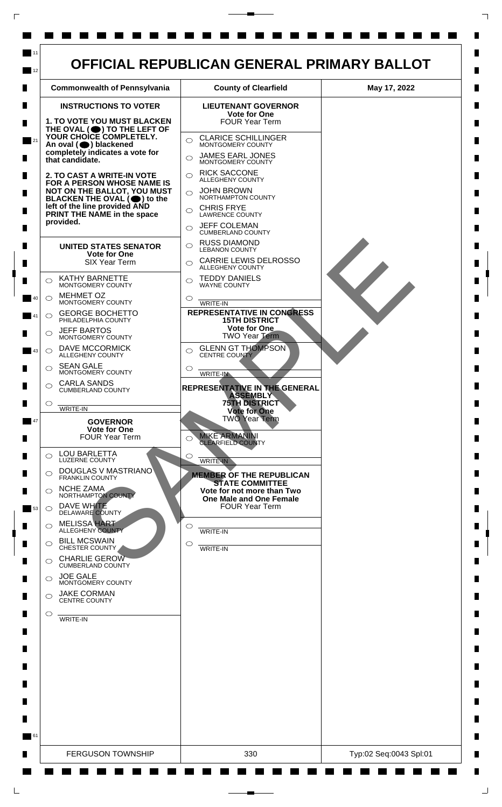

 $\mathsf{L}$